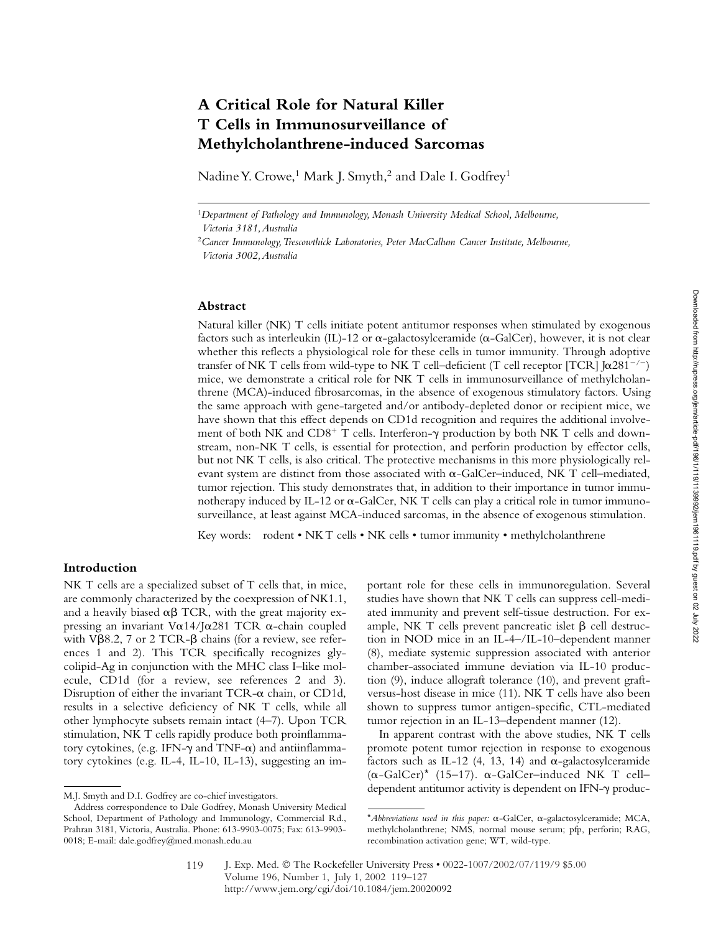# **A Critical Role for Natural Killer T Cells in Immunosurveillance of Methylcholanthrene-induced Sarcomas**

Nadine Y. Crowe,<sup>1</sup> Mark J. Smyth,<sup>2</sup> and Dale I. Godfrey<sup>1</sup>

<sup>1</sup>*Department of Pathology and Immunology, Monash University Medical School, Melbourne, Victoria 3181, Australia*

<sup>2</sup>*Cancer Immunology, Trescowthick Laboratories, Peter MacCallum Cancer Institute, Melbourne, Victoria 3002, Australia*

# **Abstract**

Natural killer (NK) T cells initiate potent antitumor responses when stimulated by exogenous factors such as interleukin (IL)-12 or  $\alpha$ -galactosylceramide ( $\alpha$ -GalCer), however, it is not clear whether this reflects a physiological role for these cells in tumor immunity. Through adoptive transfer of NK T cells from wild-type to NK T cell–deficient (T cell receptor [TCR] J $\alpha$ 281<sup>-/-</sup>) mice, we demonstrate a critical role for NK T cells in immunosurveillance of methylcholanthrene (MCA)-induced fibrosarcomas, in the absence of exogenous stimulatory factors. Using the same approach with gene-targeted and/or antibody-depleted donor or recipient mice, we have shown that this effect depends on CD1d recognition and requires the additional involvement of both NK and  $CDS^+$  T cells. Interferon- $\gamma$  production by both NK T cells and downstream, non-NK T cells, is essential for protection, and perforin production by effector cells, but not NK T cells, is also critical. The protective mechanisms in this more physiologically relevant system are distinct from those associated with  $\alpha$ -GalCer–induced, NK T cell–mediated, tumor rejection. This study demonstrates that, in addition to their importance in tumor immunotherapy induced by IL-12 or  $\alpha$ -GalCer, NK T cells can play a critical role in tumor immunosurveillance, at least against MCA-induced sarcomas, in the absence of exogenous stimulation.

Key words: rodent • NK T cells • NK cells • tumor immunity • methylcholanthrene

# **Introduction**

NK T cells are a specialized subset of T cells that, in mice, are commonly characterized by the coexpression of NK1.1, and a heavily biased  $\alpha\beta$  TCR, with the great majority expressing an invariant V $\alpha$ 14/J $\alpha$ 281 TCR  $\alpha$ -chain coupled with V $\beta$ 8.2, 7 or 2 TCR- $\beta$  chains (for a review, see references 1 and 2). This TCR specifically recognizes glycolipid-Ag in conjunction with the MHC class I–like molecule, CD1d (for a review, see references 2 and 3). Disruption of either the invariant TCR- $\alpha$  chain, or CD1d, results in a selective deficiency of NK T cells, while all other lymphocyte subsets remain intact (4–7). Upon TCR stimulation, NK T cells rapidly produce both proinflammatory cytokines, (e.g. IFN- $\gamma$  and TNF- $\alpha$ ) and antiinflammatory cytokines (e.g. IL-4, IL-10, IL-13), suggesting an important role for these cells in immunoregulation. Several studies have shown that NK T cells can suppress cell-mediated immunity and prevent self-tissue destruction. For example, NK T cells prevent pancreatic islet  $\beta$  cell destruction in NOD mice in an IL-4–/IL-10–dependent manner (8), mediate systemic suppression associated with anterior chamber-associated immune deviation via IL-10 production (9), induce allograft tolerance (10), and prevent graftversus-host disease in mice (11). NK T cells have also been shown to suppress tumor antigen-specific, CTL-mediated tumor rejection in an IL-13–dependent manner (12).

In apparent contrast with the above studies, NK T cells promote potent tumor rejection in response to exogenous factors such as IL-12 (4, 13, 14) and  $\alpha$ -galactosylceramide  $(\alpha$ -GalCer)\* (15–17).  $\alpha$ -GalCer–induced NK T cell– dependent antitumor activity is dependent on IFN- $\gamma$  produc-<br>M.J. Smyth and D.I. Godfrey are co-chief investigators.

Address correspondence to Dale Godfrey, Monash University Medical School, Department of Pathology and Immunology, Commercial Rd., Prahran 3181, Victoria, Australia. Phone: 613-9903-0075; Fax: 613-9903- 0018; E-mail: dale.godfrey@med.monash.edu.au

<sup>\*</sup>Abbreviations used in this paper: α-GalCer, α-galactosylceramide; MCA, methylcholanthrene; NMS, normal mouse serum; pfp, perforin; RAG, recombination activation gene; WT, wild-type.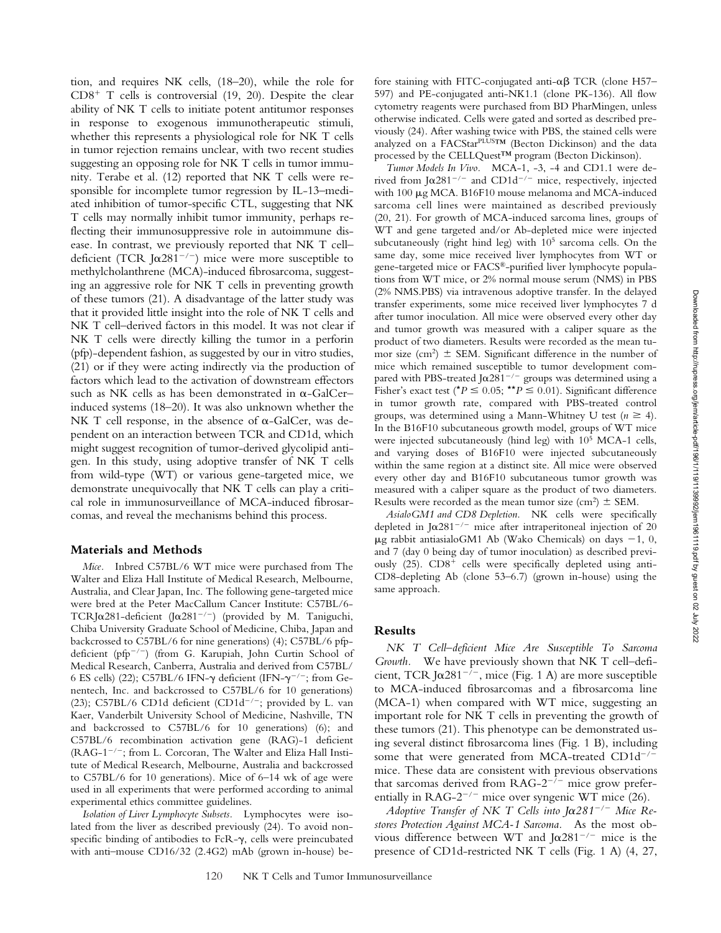tion, and requires NK cells, (18–20), while the role for  $CD8<sup>+</sup>$  T cells is controversial (19, 20). Despite the clear ability of NK T cells to initiate potent antitumor responses in response to exogenous immunotherapeutic stimuli, whether this represents a physiological role for NK T cells in tumor rejection remains unclear, with two recent studies suggesting an opposing role for NK T cells in tumor immunity. Terabe et al. (12) reported that NK T cells were responsible for incomplete tumor regression by IL-13–mediated inhibition of tumor-specific CTL, suggesting that NK T cells may normally inhibit tumor immunity, perhaps reflecting their immunosuppressive role in autoimmune disease. In contrast, we previously reported that NK T cell– deficient (TCR J $\alpha$ 281<sup>-/-</sup>) mice were more susceptible to methylcholanthrene (MCA)-induced fibrosarcoma, suggesting an aggressive role for NK T cells in preventing growth of these tumors (21). A disadvantage of the latter study was that it provided little insight into the role of NK T cells and NK T cell–derived factors in this model. It was not clear if NK T cells were directly killing the tumor in a perforin (pfp)-dependent fashion, as suggested by our in vitro studies, (21) or if they were acting indirectly via the production of factors which lead to the activation of downstream effectors such as NK cells as has been demonstrated in  $\alpha$ -GalCer– induced systems (18–20). It was also unknown whether the NK T cell response, in the absence of  $\alpha$ -GalCer, was dependent on an interaction between TCR and CD1d, which might suggest recognition of tumor-derived glycolipid antigen. In this study, using adoptive transfer of NK T cells from wild-type (WT) or various gene-targeted mice, we demonstrate unequivocally that NK T cells can play a critical role in immunosurveillance of MCA-induced fibrosarcomas, and reveal the mechanisms behind this process.

### **Materials and Methods**

*Mice.* Inbred C57BL/6 WT mice were purchased from The Walter and Eliza Hall Institute of Medical Research, Melbourne, Australia, and Clear Japan, Inc. The following gene-targeted mice were bred at the Peter MacCallum Cancer Institute: C57BL/6- TCRJ $\alpha$ 281-deficient (J $\alpha$ 281<sup>-/-</sup>) (provided by M. Taniguchi, Chiba University Graduate School of Medicine, Chiba, Japan and backcrossed to C57BL/6 for nine generations) (4); C57BL/6 pfpdeficient (pfp<sup>-/-</sup>) (from G. Karupiah, John Curtin School of Medical Research, Canberra, Australia and derived from C57BL/ 6 ES cells) (22); C57BL/6 IFN- $\gamma$  deficient (IFN- $\gamma^{-/-}$ ; from Genentech, Inc. and backcrossed to C57BL/6 for 10 generations) (23); C57BL/6 CD1d deficient (CD1d<sup>-/-</sup>; provided by L. van Kaer, Vanderbilt University School of Medicine, Nashville, TN and backcrossed to C57BL/6 for 10 generations) (6); and C57BL/6 recombination activation gene (RAG)-1 deficient (RAG-1<sup>-/-</sup>; from L. Corcoran, The Walter and Eliza Hall Institute of Medical Research, Melbourne, Australia and backcrossed to C57BL/6 for 10 generations). Mice of 6–14 wk of age were used in all experiments that were performed according to animal experimental ethics committee guidelines.

*Isolation of Liver Lymphocyte Subsets.* Lymphocytes were isolated from the liver as described previously (24). To avoid nonspecific binding of antibodies to  $FcR-\gamma$ , cells were preincubated with anti–mouse CD16/32 (2.4G2) mAb (grown in-house) be-

fore staining with FITC-conjugated anti- $\alpha\beta$  TCR (clone H57-597) and PE-conjugated anti-NK1.1 (clone PK-136). All flow cytometry reagents were purchased from BD PharMingen, unless otherwise indicated. Cells were gated and sorted as described previously (24). After washing twice with PBS, the stained cells were analyzed on a FACStarPLUSTM (Becton Dickinson) and the data processed by the CELLQuest™ program (Becton Dickinson).

*Tumor Models In Vivo.* MCA-1, -3, -4 and CD1.1 were derived from J $\alpha$ 281<sup>-/-</sup> and CD1d<sup>-/-</sup> mice, respectively, injected with  $100 \mu$ g MCA. B16F10 mouse melanoma and MCA-induced sarcoma cell lines were maintained as described previously (20, 21). For growth of MCA-induced sarcoma lines, groups of WT and gene targeted and/or Ab-depleted mice were injected subcutaneously (right hind leg) with 10<sup>5</sup> sarcoma cells. On the same day, some mice received liver lymphocytes from WT or gene-targeted mice or FACS®-purified liver lymphocyte populations from WT mice, or 2% normal mouse serum (NMS) in PBS (2% NMS.PBS) via intravenous adoptive transfer. In the delayed transfer experiments, some mice received liver lymphocytes 7 d after tumor inoculation. All mice were observed every other day and tumor growth was measured with a caliper square as the product of two diameters. Results were recorded as the mean tumor size (cm<sup>2</sup>)  $\pm$  SEM. Significant difference in the number of mice which remained susceptible to tumor development compared with PBS-treated J $\alpha$ 281<sup>-/-</sup> groups was determined using a Fisher's exact test ( $^{\star}P \le 0.05$ ;  $^{\star\star}P \le 0.01$ ). Significant difference in tumor growth rate, compared with PBS-treated control groups, was determined using a Mann-Whitney U test  $(n \ge 4)$ . In the B16F10 subcutaneous growth model, groups of WT mice were injected subcutaneously (hind leg) with  $10<sup>5</sup> MCA-1$  cells, and varying doses of B16F10 were injected subcutaneously within the same region at a distinct site. All mice were observed every other day and B16F10 subcutaneous tumor growth was measured with a caliper square as the product of two diameters. Results were recorded as the mean tumor size (cm<sup>2</sup>)  $\pm$  SEM.

*AsialoGM1 and CD8 Depletion.* NK cells were specifically depleted in J $\alpha$ 281<sup>-/-</sup> mice after intraperitoneal injection of 20  $\mu$ g rabbit antiasialoGM1 Ab (Wako Chemicals) on days -1, 0, and 7 (day 0 being day of tumor inoculation) as described previously (25).  $CD8<sup>+</sup>$  cells were specifically depleted using anti-CD8-depleting Ab (clone 53–6.7) (grown in-house) using the same approach.

# **Results**

*NK T Cell–deficient Mice Are Susceptible To Sarcoma Growth.* We have previously shown that NK T cell–deficient, TCR J $\alpha$ 281<sup>-/-</sup>, mice (Fig. 1 A) are more susceptible to MCA-induced fibrosarcomas and a fibrosarcoma line (MCA-1) when compared with WT mice, suggesting an important role for NK T cells in preventing the growth of these tumors (21). This phenotype can be demonstrated using several distinct fibrosarcoma lines (Fig. 1 B), including some that were generated from MCA-treated  $CD1d^{-/-}$ mice. These data are consistent with previous observations that sarcomas derived from  $RAG-2^{-/-}$  mice grow preferentially in RAG-2<sup>-/-</sup> mice over syngenic WT mice (26).

 $A$ doptive Transfer of NK T Cells into J $\alpha$ 281<sup>-/-</sup> Mice Re*stores Protection Against MCA-1 Sarcoma.* As the most obvious difference between WT and J $\alpha$ 281<sup>-/-</sup> mice is the presence of CD1d-restricted NK T cells (Fig. 1 A) (4, 27,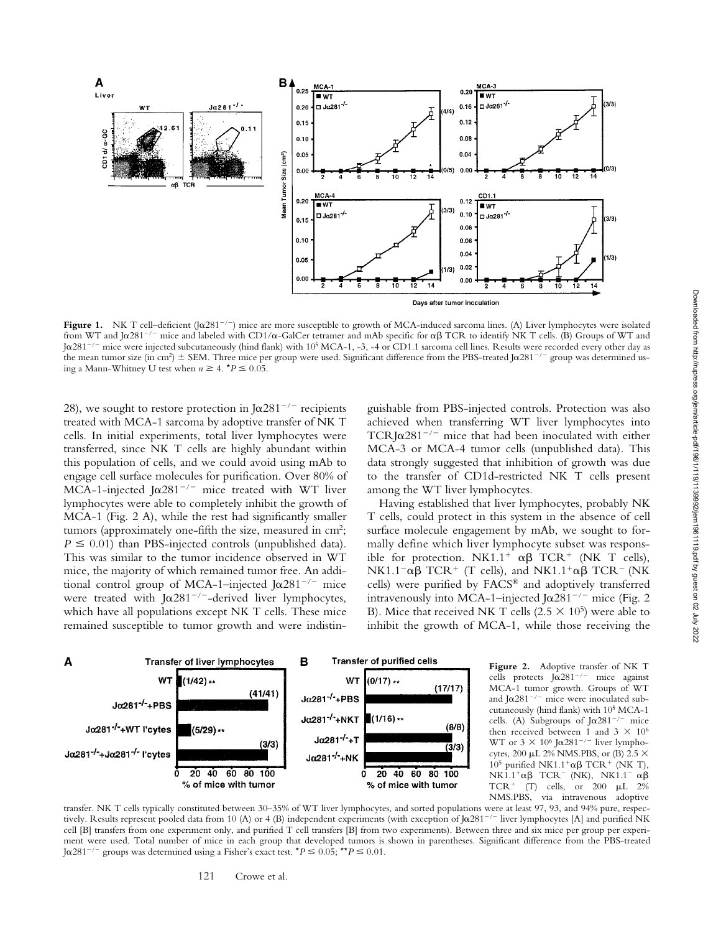

Figure 1. NK T cell–deficient  $(\int \alpha 281^{-/-})$  mice are more susceptible to growth of MCA-induced sarcoma lines. (A) Liver lymphocytes were isolated from WT and J $\alpha$ 281<sup>-/-</sup> mice and labeled with CD1/ $\alpha$ -GalCer tetramer and mAb specific for  $\alpha\beta$  TCR to identify NK T cells. (B) Groups of WT and J $\alpha$ 281 $^{-/-}$  mice were injected subcutaneously (hind flank) with 10 $^5$  MCA-1, -3, -4 or CD1.1 sarcoma cell lines. Results were recorded every other day as the mean tumor size (in cm<sup>2</sup>)  $\pm$  SEM. Three mice per group were used. Significant difference from the PBS-treated Joc281<sup>-/-</sup> group was determined using a Mann-Whitney U test when  $n \geq 4$ .  $*P \leq 0.05$ .

28), we sought to restore protection in  $J\alpha 281^{-/-}$  recipients treated with MCA-1 sarcoma by adoptive transfer of NK T cells. In initial experiments, total liver lymphocytes were transferred, since NK T cells are highly abundant within this population of cells, and we could avoid using mAb to engage cell surface molecules for purification. Over 80% of MCA-1-injected J $\alpha$ 281<sup>-/-</sup> mice treated with WT liver lymphocytes were able to completely inhibit the growth of MCA-1 (Fig. 2 A), while the rest had significantly smaller tumors (approximately one-fifth the size, measured in cm<sup>2</sup>;  $P \leq 0.01$ ) than PBS-injected controls (unpublished data). This was similar to the tumor incidence observed in WT mice, the majority of which remained tumor free. An additional control group of MCA-1-injected J $\alpha$ 281<sup>-/-</sup> mice were treated with J $\alpha$ 281<sup>-/-</sup>-derived liver lymphocytes, which have all populations except NK T cells. These mice remained susceptible to tumor growth and were indistinguishable from PBS-injected controls. Protection was also achieved when transferring WT liver lymphocytes into TCRJ $\alpha$ 281<sup>-/-</sup> mice that had been inoculated with either MCA-3 or MCA-4 tumor cells (unpublished data). This data strongly suggested that inhibition of growth was due to the transfer of CD1d-restricted NK T cells present among the WT liver lymphocytes.

Having established that liver lymphocytes, probably NK T cells, could protect in this system in the absence of cell surface molecule engagement by mAb, we sought to formally define which liver lymphocyte subset was responsible for protection. NK1.1<sup>+</sup>  $\alpha\beta$  TCR<sup>+</sup> (NK T cells),  $NK1.1^{-} \alpha \beta$  TCR<sup>+</sup> (T cells), and NK1.1<sup>+</sup> $\alpha\beta$  TCR<sup>-</sup> (NK cells) were purified by FACS® and adoptively transferred intravenously into MCA-1–injected J $\alpha$ 281<sup>-/-</sup> mice (Fig. 2 B). Mice that received NK T cells (2.5  $\times$  10<sup>5</sup>) were able to inhibit the growth of MCA-1, while those receiving the



Figure 2. Adoptive transfer of NK T cells protects  $J\alpha 281^{-/-}$  mice against MCA-1 tumor growth. Groups of WT and J $\alpha$ 281<sup>-/-</sup> mice were inoculated subcutaneously (hind flank) with 105 MCA-1 cells. (A) Subgroups of  $J\alpha 281^{-/-}$  mice then received between 1 and 3  $\times$  10<sup>6</sup> WT or  $3 \times 10^6$  J $\alpha$ 281<sup>-/-</sup> liver lymphocytes, 200 µL 2% NMS.PBS, or (B) 2.5  $\times$ 10<sup>5</sup> purified NK1.1<sup>+</sup>αβ TCR<sup>+</sup> (NK T),  $NK1.1^+\alpha\beta$  TCR<sup>-</sup> (NK), NK1.1<sup>-</sup>  $\alpha\beta$ TCR<sup>+</sup> (T) cells, or 200  $\mu$ L 2% NMS.PBS, via intravenous adoptive

transfer. NK T cells typically constituted between 30–35% of WT liver lymphocytes, and sorted populations were at least 97, 93, and 94% pure, respectively. Results represent pooled data from 10 (A) or 4 (B) independent experiments (with exception of Joa281<sup>-/-</sup> liver lymphocytes [A] and purified NK cell [B] transfers from one experiment only, and purified T cell transfers [B] from two experiments). Between three and six mice per group per experiment were used. Total number of mice in each group that developed tumors is shown in parentheses. Significant difference from the PBS-treated  $J\alpha$ 281<sup>-/-</sup> groups was determined using a Fisher's exact test.  $^{\star}P \le 0.05;$   $^{\star\star}P \le 0.01$ .

121 Crowe et al.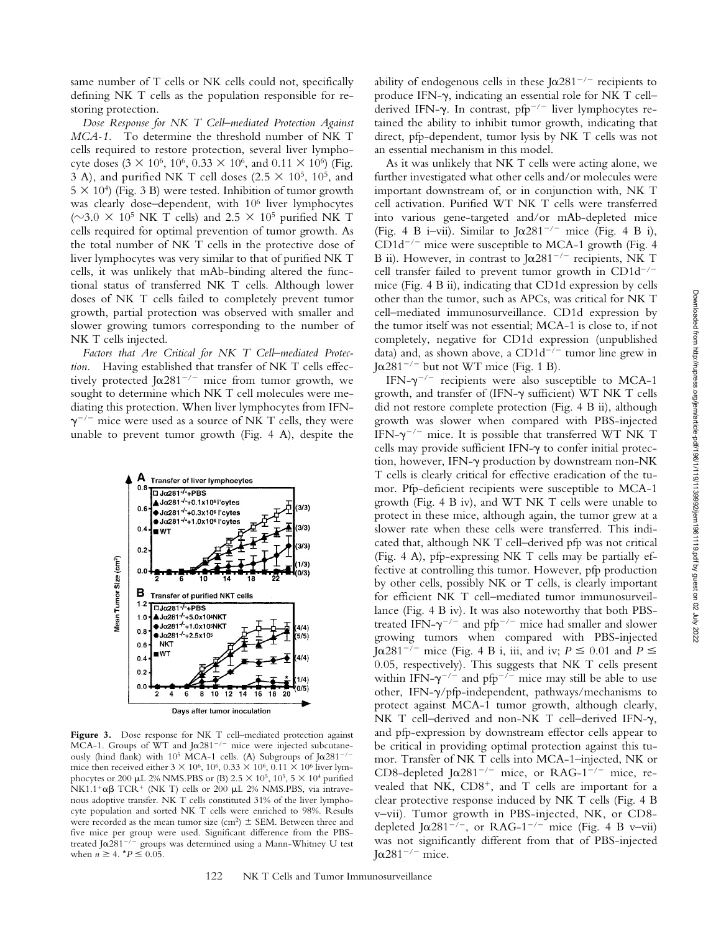same number of T cells or NK cells could not, specifically defining NK T cells as the population responsible for restoring protection.

*Dose Response for NK T Cell–mediated Protection Against MCA-1.* To determine the threshold number of NK T cells required to restore protection, several liver lymphocyte doses  $(3 \times 10^6, 10^6, 0.33 \times 10^6, \text{ and } 0.11 \times 10^6)$  (Fig. 3 A), and purified NK T cell doses  $(2.5 \times 10^5, 10^5, \text{ and})$  $5 \times 10^4$ ) (Fig. 3 B) were tested. Inhibition of tumor growth was clearly dose–dependent, with 106 liver lymphocytes ( $\sim$ 3.0  $\times$  10<sup>5</sup> NK T cells) and 2.5  $\times$  10<sup>5</sup> purified NK T cells required for optimal prevention of tumor growth. As the total number of NK T cells in the protective dose of liver lymphocytes was very similar to that of purified NK T cells, it was unlikely that mAb-binding altered the functional status of transferred NK T cells. Although lower doses of NK T cells failed to completely prevent tumor growth, partial protection was observed with smaller and slower growing tumors corresponding to the number of NK T cells injected.

*Factors that Are Critical for NK T Cell–mediated Protection.* Having established that transfer of NK T cells effectively protected J $\alpha$ 281<sup>-/-</sup> mice from tumor growth, we sought to determine which NK T cell molecules were mediating this protection. When liver lymphocytes from IFN-  $\gamma^{-/-}$  mice were used as a source of NK T cells, they were unable to prevent tumor growth (Fig. 4 A), despite the



Figure 3. Dose response for NK T cell–mediated protection against MCA-1. Groups of WT and J $\alpha$ 281<sup>-/-</sup> mice were injected subcutaneously (hind flank) with  $10^5$  MCA-1 cells. (A) Subgroups of J $\alpha$ 281<sup>-/-</sup> mice then received either  $3 \times 10^6$ ,  $10^6$ ,  $0.33 \times 10^6$ ,  $0.11 \times 10^6$  liver lymphocytes or 200 µL 2% NMS.PBS or (B) 2.5  $\times$  10<sup>5</sup>, 10<sup>5</sup>, 5  $\times$  10<sup>4</sup> purified  $NK1.1^+ \alpha \beta$  TCR<sup>+</sup> (NK T) cells or 200  $\mu$ L 2% NMS.PBS, via intravenous adoptive transfer. NK T cells constituted 31% of the liver lymphocyte population and sorted NK T cells were enriched to 98%. Results were recorded as the mean tumor size (cm<sup>2</sup>)  $\pm$  SEM. Between three and five mice per group were used. Significant difference from the PBStreated J $\alpha$ 281<sup>-/-</sup> groups was determined using a Mann-Whitney U test when  $n \geq 4$ .  $*P \leq 0.05$ .

ability of endogenous cells in these J $\alpha$ 281<sup>-/-</sup> recipients to produce IFN- $\gamma$ , indicating an essential role for NK T cellderived IFN- $\gamma$ . In contrast, pfp<sup>-/-</sup> liver lymphocytes retained the ability to inhibit tumor growth, indicating that direct, pfp-dependent, tumor lysis by NK T cells was not an essential mechanism in this model.

As it was unlikely that NK T cells were acting alone, we further investigated what other cells and/or molecules were important downstream of, or in conjunction with, NK T cell activation. Purified WT NK T cells were transferred into various gene-targeted and/or mAb-depleted mice (Fig. 4 B i–vii). Similar to  $J\alpha 281^{-/-}$  mice (Fig. 4 B i),  $CD1d^{-/-}$  mice were susceptible to MCA-1 growth (Fig. 4) B ii). However, in contrast to J $\alpha$ 281<sup>-/-</sup> recipients, NK T cell transfer failed to prevent tumor growth in  $CD1d^{-/-}$ mice (Fig. 4 B ii), indicating that CD1d expression by cells other than the tumor, such as APCs, was critical for NK T cell–mediated immunosurveillance. CD1d expression by the tumor itself was not essential; MCA-1 is close to, if not completely, negative for CD1d expression (unpublished data) and, as shown above, a CD1d<sup> $-/-$ </sup> tumor line grew in J $\alpha$ 281<sup>-/-</sup> but not WT mice (Fig. 1 B).

IFN- $\gamma$ <sup>-/-</sup> recipients were also susceptible to MCA-1 growth, and transfer of (IFN- $\gamma$  sufficient) WT NK T cells did not restore complete protection (Fig. 4 B ii), although growth was slower when compared with PBS-injected IFN- $\gamma^{-/-}$  mice. It is possible that transferred WT NK T cells may provide sufficient IFN- $\gamma$  to confer initial protection, however, IFN- $\gamma$  production by downstream non-NK T cells is clearly critical for effective eradication of the tumor. Pfp-deficient recipients were susceptible to MCA-1 growth (Fig. 4 B iv), and WT NK T cells were unable to protect in these mice, although again, the tumor grew at a slower rate when these cells were transferred. This indicated that, although NK T cell–derived pfp was not critical (Fig. 4 A), pfp-expressing NK T cells may be partially effective at controlling this tumor. However, pfp production by other cells, possibly NK or T cells, is clearly important for efficient NK T cell–mediated tumor immunosurveillance (Fig. 4 B iv). It was also noteworthy that both PBStreated IFN- $\gamma^{-/-}$  and pfp<sup>-/-</sup> mice had smaller and slower growing tumors when compared with PBS-injected J $\alpha$ 281<sup>-/-</sup> mice (Fig. 4 B i, iii, and iv;  $P \le 0.01$  and  $P \le$ 0.05, respectively). This suggests that NK T cells present within IFN- $\gamma^{-/-}$  and pfp<sup>-/-</sup> mice may still be able to use other, IFN- $\gamma$ /pfp-independent, pathways/mechanisms to protect against MCA-1 tumor growth, although clearly, NK T cell-derived and non-NK T cell-derived IFN- $\gamma$ , and pfp-expression by downstream effector cells appear to be critical in providing optimal protection against this tumor. Transfer of NK T cells into MCA-1–injected, NK or CD8-depleted J $\alpha$ 281<sup>-/-</sup> mice, or RAG-1<sup>-/-</sup> mice, revealed that NK,  $CD8<sup>+</sup>$ , and T cells are important for a clear protective response induced by NK T cells (Fig. 4 B v–vii). Tumor growth in PBS-injected, NK, or CD8 depleted J $\alpha$ 281<sup>-/-</sup>, or RAG-1<sup>-/-</sup> mice (Fig. 4 B v-vii) was not significantly different from that of PBS-injected J $\alpha$ 281<sup>-/-</sup> mice.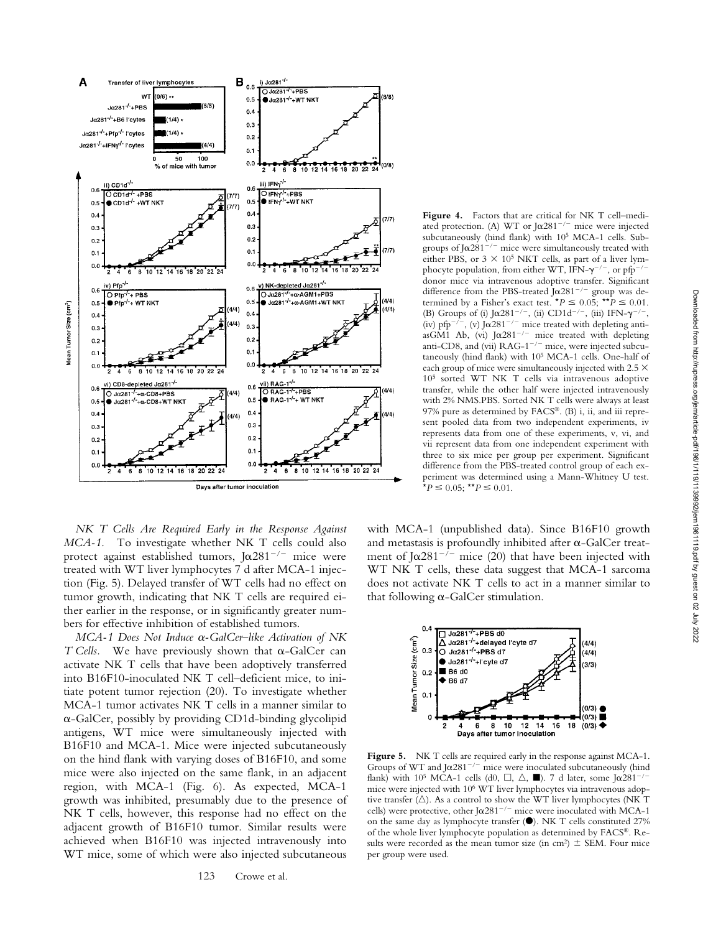

*NK T Cells Are Required Early in the Response Against MCA-1.* To investigate whether NK T cells could also protect against established tumors, J $\alpha$ 281<sup>-/-</sup> mice were treated with WT liver lymphocytes 7 d after MCA-1 injection (Fig. 5). Delayed transfer of WT cells had no effect on tumor growth, indicating that NK T cells are required either earlier in the response, or in significantly greater numbers for effective inhibition of established tumors.

*MCA-1 Does Not Induce α-GalCer–like Activation of NK*  $T$  Cells. We have previously shown that  $\alpha$ -GalCer can activate NK T cells that have been adoptively transferred into B16F10-inoculated NK T cell–deficient mice, to initiate potent tumor rejection (20). To investigate whether MCA-1 tumor activates NK T cells in a manner similar to --GalCer, possibly by providing CD1d-binding glycolipid antigens, WT mice were simultaneously injected with B16F10 and MCA-1. Mice were injected subcutaneously on the hind flank with varying doses of B16F10, and some mice were also injected on the same flank, in an adjacent region, with MCA-1 (Fig. 6). As expected, MCA-1 growth was inhibited, presumably due to the presence of NK T cells, however, this response had no effect on the adjacent growth of B16F10 tumor. Similar results were achieved when B16F10 was injected intravenously into WT mice, some of which were also injected subcutaneous

Figure 4. Factors that are critical for NK T cell-mediated protection. (A) WT or J $\alpha$ 281<sup>-/-</sup> mice were injected subcutaneously (hind flank) with 105 MCA-1 cells. Subgroups of J $\alpha$ 281<sup>-/-</sup> mice were simultaneously treated with either PBS, or  $3 \times 10^5$  NKT cells, as part of a liver lymphocyte population, from either WT, IFN- $\gamma^{-/-}$ , or pfp<sup>-/-</sup> donor mice via intravenous adoptive transfer. Significant difference from the PBS-treated J $\alpha$ 281<sup>-/-</sup> group was determined by a Fisher's exact test.  $^{\star}P \leq 0.05$ ;  $^{\star\star}P \leq 0.01$ . (B) Groups of (i)  $\int \alpha 281^{-/-}$ , (ii) CD1d<sup>-/-</sup>, (iii) IFN- $\gamma^{-/-}$ , (iv) pfp<sup>-/-</sup>, (v) J $\alpha$ 281<sup>-/-</sup> mice treated with depleting antiasGM1 Ab, (vi) J $\alpha$ 281<sup>-/-</sup> mice treated with depleting anti-CD8, and (vii)  $RAG-1^{-/-}$  mice, were injected subcutaneously (hind flank) with 105 MCA-1 cells. One-half of each group of mice were simultaneously injected with 2.5  $\times$ 105 sorted WT NK T cells via intravenous adoptive transfer, while the other half were injected intravenously with 2% NMS.PBS. Sorted NK T cells were always at least 97% pure as determined by FACS®. (B) i, ii, and iii represent pooled data from two independent experiments, iv represents data from one of these experiments, v, vi, and vii represent data from one independent experiment with three to six mice per group per experiment. Significant difference from the PBS-treated control group of each experiment was determined using a Mann-Whitney U test.  $\mathbf{\hat{P}} = 0.05; \mathbf{f} \mathbf{f} \leq 0.01.$ 

with MCA-1 (unpublished data). Since B16F10 growth and metastasis is profoundly inhibited after  $\alpha$ -GalCer treatment of J $\alpha$ 281<sup>-/-</sup> mice (20) that have been injected with WT NK T cells, these data suggest that MCA-1 sarcoma does not activate NK T cells to act in a manner similar to that following  $\alpha$ -GalCer stimulation.



Figure 5. NK T cells are required early in the response against MCA-1. Groups of WT and J $\alpha$ 281<sup>-/-</sup> mice were inoculated subcutaneously (hind flank) with 10<sup>5</sup> MCA-1 cells (d0,  $\Box$ ,  $\triangle$ ,  $\blacksquare$ ). 7 d later, some J $\alpha$ 281<sup>-/-</sup> mice were injected with 106 WT liver lymphocytes via intravenous adoptive transfer  $(\triangle)$ . As a control to show the WT liver lymphocytes (NK T cells) were protective, other J $\alpha$ 281<sup>-/-</sup> mice were inoculated with MCA-1 on the same day as lymphocyte transfer  $(\bullet)$ . NK T cells constituted 27% of the whole liver lymphocyte population as determined by FACS®. Results were recorded as the mean tumor size (in cm<sup>2</sup>)  $\pm$  SEM. Four mice per group were used.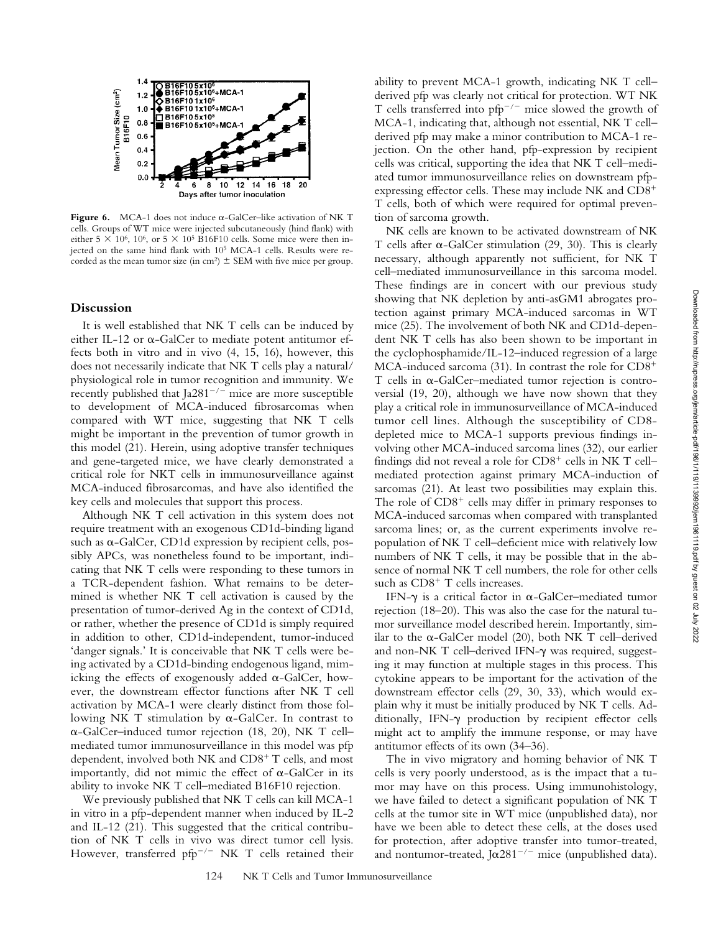Downloaded from http://rupress.org/jem/article-pdf/196/1/119/1139992/jem1961119.pdf by guest on 02 July 2022

Downloaded from http://rupress.org/jem/article-pdf/196/1/119/119992/jem1961119.pdf by guest on 02 July 2022



Figure 6.  $MCA-1$  does not induce  $\alpha$ -GalCer-like activation of NK T cells. Groups of WT mice were injected subcutaneously (hind flank) with either 5  $\times$  10<sup>6</sup>, 10<sup>6</sup>, or 5  $\times$  10<sup>5</sup> B16F10 cells. Some mice were then injected on the same hind flank with 10<sup>5</sup> MCA-1 cells. Results were recorded as the mean tumor size (in cm<sup>2</sup>)  $\pm$  SEM with five mice per group.

#### **Discussion**

It is well established that NK T cells can be induced by either IL-12 or  $\alpha$ -GalCer to mediate potent antitumor effects both in vitro and in vivo (4, 15, 16), however, this does not necessarily indicate that NK T cells play a natural/ physiological role in tumor recognition and immunity. We recently published that Ja281<sup>-/-</sup> mice are more susceptible to development of MCA-induced fibrosarcomas when compared with WT mice, suggesting that NK T cells might be important in the prevention of tumor growth in this model (21). Herein, using adoptive transfer techniques and gene-targeted mice, we have clearly demonstrated a critical role for NKT cells in immunosurveillance against MCA-induced fibrosarcomas, and have also identified the key cells and molecules that support this process.

Although NK T cell activation in this system does not require treatment with an exogenous CD1d-binding ligand such as  $\alpha$ -GalCer, CD1d expression by recipient cells, possibly APCs, was nonetheless found to be important, indicating that NK T cells were responding to these tumors in a TCR-dependent fashion. What remains to be determined is whether NK T cell activation is caused by the presentation of tumor-derived Ag in the context of CD1d, or rather, whether the presence of CD1d is simply required in addition to other, CD1d-independent, tumor-induced 'danger signals.' It is conceivable that NK T cells were being activated by a CD1d-binding endogenous ligand, mimicking the effects of exogenously added  $\alpha$ -GalCer, however, the downstream effector functions after NK T cell activation by MCA-1 were clearly distinct from those following NK T stimulation by  $\alpha$ -GalCer. In contrast to --GalCer–induced tumor rejection (18, 20), NK T cell– mediated tumor immunosurveillance in this model was pfp dependent, involved both NK and  $CDS+T$  cells, and most importantly, did not mimic the effect of  $\alpha$ -GalCer in its ability to invoke NK T cell–mediated B16F10 rejection.

We previously published that NK T cells can kill MCA-1 in vitro in a pfp-dependent manner when induced by IL-2 and IL-12 (21). This suggested that the critical contribution of NK T cells in vivo was direct tumor cell lysis. However, transferred pfp<sup>-/-</sup> NK T cells retained their

ability to prevent MCA-1 growth, indicating NK T cell– derived pfp was clearly not critical for protection. WT NK T cells transferred into  $pfp^{-/-}$  mice slowed the growth of MCA-1, indicating that, although not essential, NK T cell– derived pfp may make a minor contribution to MCA-1 rejection. On the other hand, pfp-expression by recipient cells was critical, supporting the idea that NK T cell–mediated tumor immunosurveillance relies on downstream pfpexpressing effector cells. These may include NK and CD8 T cells, both of which were required for optimal prevention of sarcoma growth.

NK cells are known to be activated downstream of NK T cells after  $\alpha$ -GalCer stimulation (29, 30). This is clearly necessary, although apparently not sufficient, for NK T cell–mediated immunosurveillance in this sarcoma model. These findings are in concert with our previous study showing that NK depletion by anti-asGM1 abrogates protection against primary MCA-induced sarcomas in WT mice (25). The involvement of both NK and CD1d-dependent NK T cells has also been shown to be important in the cyclophosphamide/IL-12–induced regression of a large MCA-induced sarcoma (31). In contrast the role for CD8  $T$  cells in  $\alpha$ -GalCer–mediated tumor rejection is controversial (19, 20), although we have now shown that they play a critical role in immunosurveillance of MCA-induced tumor cell lines. Although the susceptibility of CD8 depleted mice to MCA-1 supports previous findings involving other MCA-induced sarcoma lines (32), our earlier findings did not reveal a role for  $CD8<sup>+</sup>$  cells in NK T cell– mediated protection against primary MCA-induction of sarcomas (21). At least two possibilities may explain this. The role of  $CD8<sup>+</sup>$  cells may differ in primary responses to MCA-induced sarcomas when compared with transplanted sarcoma lines; or, as the current experiments involve repopulation of NK T cell–deficient mice with relatively low numbers of NK T cells, it may be possible that in the absence of normal NK T cell numbers, the role for other cells such as  $CD8<sup>+</sup>$  T cells increases.

IFN- $\gamma$  is a critical factor in  $\alpha$ -GalCer-mediated tumor rejection (18–20). This was also the case for the natural tumor surveillance model described herein. Importantly, similar to the  $\alpha$ -GalCer model (20), both NK T cell-derived and non-NK  $T$  cell-derived IFN- $\gamma$  was required, suggesting it may function at multiple stages in this process. This cytokine appears to be important for the activation of the downstream effector cells (29, 30, 33), which would explain why it must be initially produced by NK T cells. Additionally, IFN- $\gamma$  production by recipient effector cells might act to amplify the immune response, or may have antitumor effects of its own (34–36).

The in vivo migratory and homing behavior of NK T cells is very poorly understood, as is the impact that a tumor may have on this process. Using immunohistology, we have failed to detect a significant population of NK T cells at the tumor site in WT mice (unpublished data), nor have we been able to detect these cells, at the doses used for protection, after adoptive transfer into tumor-treated, and nontumor-treated, J $\alpha$ 281<sup>-/-</sup> mice (unpublished data).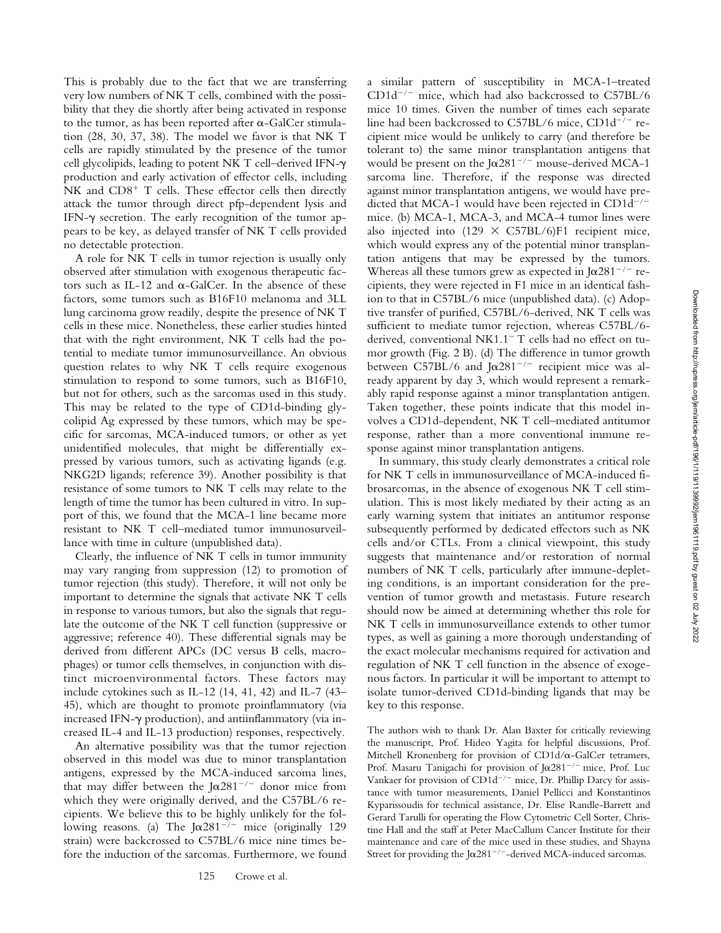This is probably due to the fact that we are transferring very low numbers of NK T cells, combined with the possibility that they die shortly after being activated in response to the tumor, as has been reported after  $\alpha$ -GalCer stimulation (28, 30, 37, 38). The model we favor is that NK T cells are rapidly stimulated by the presence of the tumor cell glycolipids, leading to potent NK T cell–derived IFN production and early activation of effector cells, including NK and  $CD8<sup>+</sup>$  T cells. These effector cells then directly attack the tumor through direct pfp-dependent lysis and IFN- $\gamma$  secretion. The early recognition of the tumor appears to be key, as delayed transfer of NK T cells provided no detectable protection.

A role for NK T cells in tumor rejection is usually only observed after stimulation with exogenous therapeutic factors such as IL-12 and  $\alpha$ -GalCer. In the absence of these factors, some tumors such as B16F10 melanoma and 3LL lung carcinoma grow readily, despite the presence of NK T cells in these mice. Nonetheless, these earlier studies hinted that with the right environment, NK T cells had the potential to mediate tumor immunosurveillance. An obvious question relates to why NK T cells require exogenous stimulation to respond to some tumors, such as B16F10, but not for others, such as the sarcomas used in this study. This may be related to the type of CD1d-binding glycolipid Ag expressed by these tumors, which may be specific for sarcomas, MCA-induced tumors, or other as yet unidentified molecules, that might be differentially expressed by various tumors, such as activating ligands (e.g. NKG2D ligands; reference 39). Another possibility is that resistance of some tumors to NK T cells may relate to the length of time the tumor has been cultured in vitro. In support of this, we found that the MCA-1 line became more resistant to NK T cell–mediated tumor immunosurveillance with time in culture (unpublished data).

Clearly, the influence of NK T cells in tumor immunity may vary ranging from suppression (12) to promotion of tumor rejection (this study). Therefore, it will not only be important to determine the signals that activate NK T cells in response to various tumors, but also the signals that regulate the outcome of the NK T cell function (suppressive or aggressive; reference 40). These differential signals may be derived from different APCs (DC versus B cells, macrophages) or tumor cells themselves, in conjunction with distinct microenvironmental factors. These factors may include cytokines such as IL-12 (14, 41, 42) and IL-7 (43– 45), which are thought to promote proinflammatory (via increased IFN- $\gamma$  production), and antiinflammatory (via increased IL-4 and IL-13 production) responses, respectively.

An alternative possibility was that the tumor rejection observed in this model was due to minor transplantation antigens, expressed by the MCA-induced sarcoma lines, that may differ between the J $\alpha$ 281<sup>-/-</sup> donor mice from which they were originally derived, and the C57BL/6 recipients. We believe this to be highly unlikely for the following reasons. (a) The  $J\alpha 281^{-/-}$  mice (originally 129 strain) were backcrossed to C57BL/6 mice nine times before the induction of the sarcomas. Furthermore, we found

a similar pattern of susceptibility in MCA-1–treated  $CD1d^{-/-}$  mice, which had also backcrossed to  $C57BL/6$ mice 10 times. Given the number of times each separate line had been backcrossed to C57BL/6 mice, CD1d<sup>-7-</sup> recipient mice would be unlikely to carry (and therefore be tolerant to) the same minor transplantation antigens that would be present on the J $\alpha$ 281<sup>-/-</sup> mouse-derived MCA-1 sarcoma line. Therefore, if the response was directed against minor transplantation antigens, we would have predicted that MCA-1 would have been rejected in  $CD1d^{-/-}$ mice. (b) MCA-1, MCA-3, and MCA-4 tumor lines were also injected into  $(129 \times C57BL/6)F1$  recipient mice, which would express any of the potential minor transplantation antigens that may be expressed by the tumors. Whereas all these tumors grew as expected in J $\alpha$ 281<sup>-/-</sup> recipients, they were rejected in F1 mice in an identical fashion to that in C57BL/6 mice (unpublished data). (c) Adoptive transfer of purified, C57BL/6-derived, NK T cells was sufficient to mediate tumor rejection, whereas C57BL/6 derived, conventional NK1.1<sup>-</sup> T cells had no effect on tumor growth (Fig. 2 B). (d) The difference in tumor growth between C57BL/6 and J $\alpha$ 281<sup>-/-</sup> recipient mice was already apparent by day 3, which would represent a remarkably rapid response against a minor transplantation antigen. Taken together, these points indicate that this model involves a CD1d-dependent, NK T cell–mediated antitumor response, rather than a more conventional immune response against minor transplantation antigens.

In summary, this study clearly demonstrates a critical role for NK T cells in immunosurveillance of MCA-induced fibrosarcomas, in the absence of exogenous NK T cell stimulation. This is most likely mediated by their acting as an early warning system that initiates an antitumor response subsequently performed by dedicated effectors such as NK cells and/or CTLs. From a clinical viewpoint, this study suggests that maintenance and/or restoration of normal numbers of NK T cells, particularly after immune-depleting conditions, is an important consideration for the prevention of tumor growth and metastasis. Future research should now be aimed at determining whether this role for NK T cells in immunosurveillance extends to other tumor types, as well as gaining a more thorough understanding of the exact molecular mechanisms required for activation and regulation of NK T cell function in the absence of exogenous factors. In particular it will be important to attempt to isolate tumor-derived CD1d-binding ligands that may be key to this response.

The authors wish to thank Dr. Alan Baxter for critically reviewing the manuscript, Prof. Hideo Yagita for helpful discussions, Prof. Mitchell Kronenberg for provision of CD1d/ $\alpha$ -GalCer tetramers, Prof. Masaru Tanigachi for provision of Joanna Joule Prof. Luc Vankaer for provision of  $CD1d^{-/-}$  mice, Dr. Phillip Darcy for assistance with tumor measurements, Daniel Pellicci and Konstantinos Kyparissoudis for technical assistance, Dr. Elise Randle-Barrett and Gerard Tarulli for operating the Flow Cytometric Cell Sorter, Christine Hall and the staff at Peter MacCallum Cancer Institute for their maintenance and care of the mice used in these studies, and Shayna Street for providing the J $\alpha$ 281<sup>-/-</sup>-derived MCA-induced sarcomas.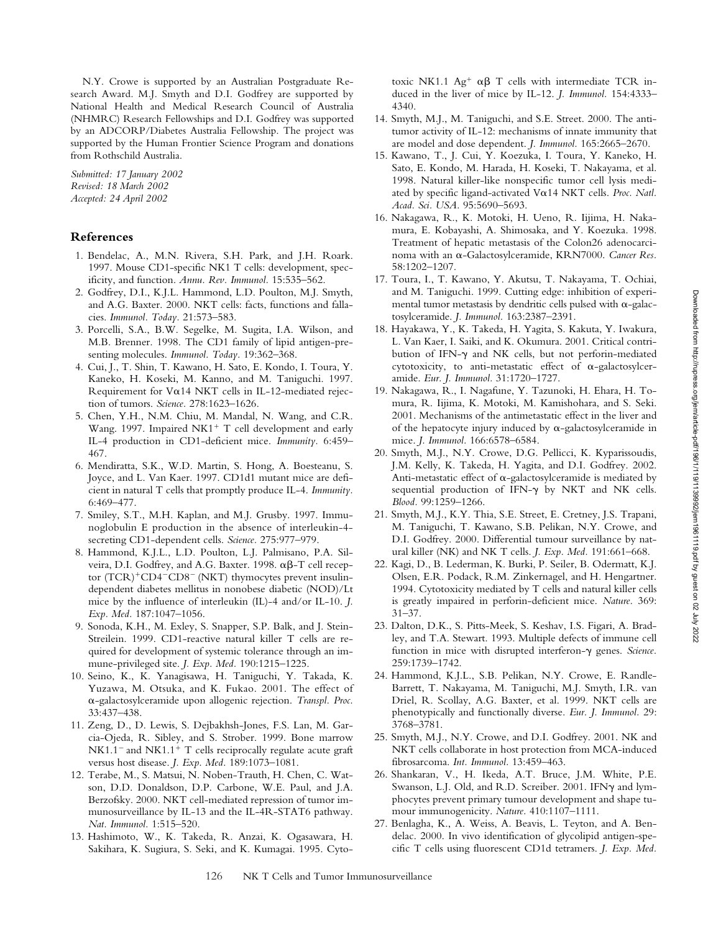N.Y. Crowe is supported by an Australian Postgraduate Research Award. M.J. Smyth and D.I. Godfrey are supported by National Health and Medical Research Council of Australia (NHMRC) Research Fellowships and D.I. Godfrey was supported by an ADCORP/Diabetes Australia Fellowship. The project was supported by the Human Frontier Science Program and donations from Rothschild Australia.

*Submitted: 17 January 2002 Revised: 18 March 2002 Accepted: 24 April 2002*

# **References**

- 1. Bendelac, A., M.N. Rivera, S.H. Park, and J.H. Roark. 1997. Mouse CD1-specific NK1 T cells: development, specificity, and function. *Annu. Rev. Immunol.* 15:535–562.
- 2. Godfrey, D.I., K.J.L. Hammond, L.D. Poulton, M.J. Smyth, and A.G. Baxter. 2000. NKT cells: facts, functions and fallacies. *Immunol. Today.* 21:573–583.
- 3. Porcelli, S.A., B.W. Segelke, M. Sugita, I.A. Wilson, and M.B. Brenner. 1998. The CD1 family of lipid antigen-presenting molecules. *Immunol. Today.* 19:362–368.
- 4. Cui, J., T. Shin, T. Kawano, H. Sato, E. Kondo, I. Toura, Y. Kaneko, H. Koseki, M. Kanno, and M. Taniguchi. 1997. Requirement for V&14 NKT cells in IL-12-mediated rejection of tumors. *Science.* 278:1623–1626.
- 5. Chen, Y.H., N.M. Chiu, M. Mandal, N. Wang, and C.R. Wang. 1997. Impaired  $N<sup>+T</sup>$  cell development and early IL-4 production in CD1-deficient mice. *Immunity.* 6:459– 467.
- 6. Mendiratta, S.K., W.D. Martin, S. Hong, A. Boesteanu, S. Joyce, and L. Van Kaer. 1997. CD1d1 mutant mice are deficient in natural T cells that promptly produce IL-4. *Immunity.* 6:469–477.
- 7. Smiley, S.T., M.H. Kaplan, and M.J. Grusby. 1997. Immunoglobulin E production in the absence of interleukin-4 secreting CD1-dependent cells. *Science.* 275:977–979.
- 8. Hammond, K.J.L., L.D. Poulton, L.J. Palmisano, P.A. Silveira, D.I. Godfrey, and A.G. Baxter. 1998.  $\alpha\beta$ -T cell receptor (TCR)<sup>+</sup>CD4<sup>-</sup>CD8<sup>-</sup> (NKT) thymocytes prevent insulindependent diabetes mellitus in nonobese diabetic (NOD)/Lt mice by the influence of interleukin (IL)-4 and/or IL-10. *J. Exp. Med.* 187:1047–1056.
- 9. Sonoda, K.H., M. Exley, S. Snapper, S.P. Balk, and J. Stein-Streilein. 1999. CD1-reactive natural killer T cells are required for development of systemic tolerance through an immune-privileged site. *J. Exp. Med.* 190:1215–1225.
- 10. Seino, K., K. Yanagisawa, H. Taniguchi, Y. Takada, K. Yuzawa, M. Otsuka, and K. Fukao. 2001. The effect of --galactosylceramide upon allogenic rejection. *Transpl. Proc.* 33:437–438.
- 11. Zeng, D., D. Lewis, S. Dejbakhsh-Jones, F.S. Lan, M. Garcia-Ojeda, R. Sibley, and S. Strober. 1999. Bone marrow  $NK1.1^-$  and  $NK1.1^+$  T cells reciprocally regulate acute graft versus host disease. *J. Exp. Med.* 189:1073–1081.
- 12. Terabe, M., S. Matsui, N. Noben-Trauth, H. Chen, C. Watson, D.D. Donaldson, D.P. Carbone, W.E. Paul, and J.A. Berzofsky. 2000. NKT cell-mediated repression of tumor immunosurveillance by IL-13 and the IL-4R-STAT6 pathway. *Nat. Immunol.* 1:515–520.
- 13. Hashimoto, W., K. Takeda, R. Anzai, K. Ogasawara, H. Sakihara, K. Sugiura, S. Seki, and K. Kumagai. 1995. Cyto-

toxic NK1.1  $Ag^+$   $\alpha\beta$  T cells with intermediate TCR induced in the liver of mice by IL-12. *J. Immunol.* 154:4333– 4340.

- 14. Smyth, M.J., M. Taniguchi, and S.E. Street. 2000. The antitumor activity of IL-12: mechanisms of innate immunity that are model and dose dependent. *J. Immunol.* 165:2665–2670.
- 15. Kawano, T., J. Cui, Y. Koezuka, I. Toura, Y. Kaneko, H. Sato, E. Kondo, M. Harada, H. Koseki, T. Nakayama, et al. 1998. Natural killer-like nonspecific tumor cell lysis mediated by specific ligand-activated Vox14 NKT cells. Proc. Natl. *Acad. Sci. USA.* 95:5690–5693.
- 16. Nakagawa, R., K. Motoki, H. Ueno, R. Iijima, H. Nakamura, E. Kobayashi, A. Shimosaka, and Y. Koezuka. 1998. Treatment of hepatic metastasis of the Colon26 adenocarcinoma with an α-Galactosylceramide, KRN7000. Cancer Res. 58:1202–1207.
- 17. Toura, I., T. Kawano, Y. Akutsu, T. Nakayama, T. Ochiai, and M. Taniguchi. 1999. Cutting edge: inhibition of experimental tumor metastasis by dendritic cells pulsed with  $\alpha$ -galactosylceramide. *J. Immunol.* 163:2387–2391.
- 18. Hayakawa, Y., K. Takeda, H. Yagita, S. Kakuta, Y. Iwakura, L. Van Kaer, I. Saiki, and K. Okumura. 2001. Critical contribution of IFN- $\gamma$  and NK cells, but not perforin-mediated cytotoxicity, to anti-metastatic effect of  $\alpha$ -galactosylceramide. *Eur. J. Immunol.* 31:1720–1727.
- 19. Nakagawa, R., I. Nagafune, Y. Tazunoki, H. Ehara, H. Tomura, R. Iijima, K. Motoki, M. Kamishohara, and S. Seki. 2001. Mechanisms of the antimetastatic effect in the liver and of the hepatocyte injury induced by  $\alpha$ -galactosylceramide in mice. *J. Immunol.* 166:6578–6584.
- 20. Smyth, M.J., N.Y. Crowe, D.G. Pellicci, K. Kyparissoudis, J.M. Kelly, K. Takeda, H. Yagita, and D.I. Godfrey. 2002. Anti-metastatic effect of  $\alpha$ -galactosylceramide is mediated by sequential production of IFN- $\gamma$  by NKT and NK cells. *Blood.* 99:1259–1266.
- 21. Smyth, M.J., K.Y. Thia, S.E. Street, E. Cretney, J.S. Trapani, M. Taniguchi, T. Kawano, S.B. Pelikan, N.Y. Crowe, and D.I. Godfrey. 2000. Differential tumour surveillance by natural killer (NK) and NK T cells. *J. Exp. Med.* 191:661–668.
- 22. Kagi, D., B. Lederman, K. Burki, P. Seiler, B. Odermatt, K.J. Olsen, E.R. Podack, R.M. Zinkernagel, and H. Hengartner. 1994. Cytotoxicity mediated by T cells and natural killer cells is greatly impaired in perforin-deficient mice. *Nature.* 369: 31–37.
- 23. Dalton, D.K., S. Pitts-Meek, S. Keshav, I.S. Figari, A. Bradley, and T.A. Stewart. 1993. Multiple defects of immune cell function in mice with disrupted interferon- $\gamma$  genes. *Science*. 259:1739–1742.
- 24. Hammond, K.J.L., S.B. Pelikan, N.Y. Crowe, E. Randle-Barrett, T. Nakayama, M. Taniguchi, M.J. Smyth, I.R. van Driel, R. Scollay, A.G. Baxter, et al. 1999. NKT cells are phenotypically and functionally diverse. *Eur. J. Immunol.* 29: 3768–3781.
- 25. Smyth, M.J., N.Y. Crowe, and D.I. Godfrey. 2001. NK and NKT cells collaborate in host protection from MCA-induced fibrosarcoma. *Int. Immunol.* 13:459–463.
- 26. Shankaran, V., H. Ikeda, A.T. Bruce, J.M. White, P.E. Swanson, L.J. Old, and R.D. Screiber. 2001. IFN $\gamma$  and lymphocytes prevent primary tumour development and shape tumour immunogenicity. *Nature.* 410:1107–1111.
- 27. Benlagha, K., A. Weiss, A. Beavis, L. Teyton, and A. Bendelac. 2000. In vivo identification of glycolipid antigen-specific T cells using fluorescent CD1d tetramers. *J. Exp. Med.*